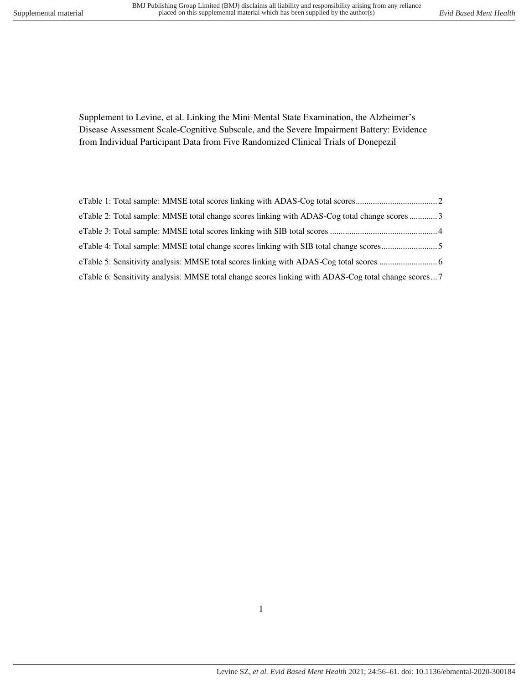Supplement to Levine, et al. Linking the Mini-Mental State Examination, the Alzheimer's Disease Assessment Scale-Cognitive Subscale, and the Severe Impairment Battery: Evidence from Individual Participant Data from Five Randomized Clinical Trials of Donepezil

| eTable 2: Total sample: MMSE total change scores linking with ADAS-Cog total change scores3         |  |
|-----------------------------------------------------------------------------------------------------|--|
|                                                                                                     |  |
| eTable 4: Total sample: MMSE total change scores linking with SIB total change scores5              |  |
|                                                                                                     |  |
| eTable 6: Sensitivity analysis: MMSE total change scores linking with ADAS-Cog total change scores7 |  |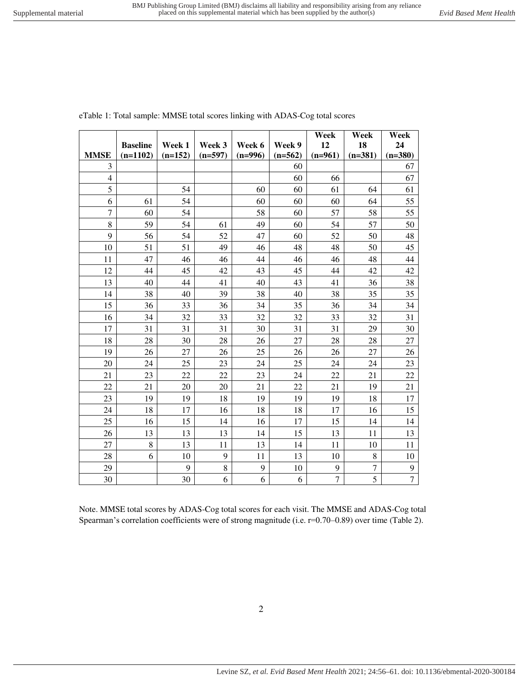|                |                 |           |             |           |           | Week           | Week      | Week           |
|----------------|-----------------|-----------|-------------|-----------|-----------|----------------|-----------|----------------|
|                | <b>Baseline</b> | Week 1    | Week 3      | Week 6    | Week 9    | 12             | 18        | 24             |
| <b>MMSE</b>    | $(n=1102)$      | $(n=152)$ | $(n=597)$   | $(n=996)$ | $(n=562)$ | $(n=961)$      | $(n=381)$ | $(n=380)$      |
| 3              |                 |           |             |           | 60        |                |           | 67             |
| $\overline{4}$ |                 |           |             |           | 60        | 66             |           | 67             |
| 5              |                 | 54        |             | 60        | 60        | 61             | 64        | 61             |
| 6              | 61              | 54        |             | 60        | 60        | 60             | 64        | 55             |
| $\overline{7}$ | 60              | 54        |             | 58        | 60        | 57             | 58        | 55             |
| 8              | 59              | 54        | 61          | 49        | 60        | 54             | 57        | 50             |
| 9              | 56              | 54        | 52          | 47        | 60        | 52             | 50        | 48             |
| 10             | 51              | 51        | 49          | 46        | 48        | 48             | 50        | 45             |
| 11             | 47              | 46        | 46          | 44        | 46        | 46             | 48        | 44             |
| 12             | 44              | 45        | 42          | 43        | 45        | 44             | 42        | 42             |
| 13             | 40              | 44        | 41          | 40        | 43        | 41             | 36        | 38             |
| 14             | 38              | 40        | 39          | 38        | 40        | 38             | 35        | 35             |
| 15             | 36              | 33        | 36          | 34        | 35        | 36             | 34        | 34             |
| 16             | 34              | 32        | 33          | 32        | 32        | 33             | 32        | 31             |
| 17             | 31              | 31        | 31          | 30        | 31        | 31             | 29        | 30             |
| 18             | 28              | 30        | 28          | 26        | 27        | 28             | 28        | 27             |
| 19             | 26              | 27        | 26          | 25        | 26        | 26             | 27        | 26             |
| 20             | 24              | 25        | 23          | 24        | 25        | 24             | 24        | 23             |
| 21             | 23              | 22        | 22          | 23        | 24        | 22             | 21        | 22             |
| 22             | 21              | 20        | 20          | 21        | 22        | 21             | 19        | 21             |
| 23             | 19              | 19        | 18          | 19        | 19        | 19             | 18        | 17             |
| 24             | 18              | 17        | 16          | 18        | 18        | 17             | 16        | 15             |
| 25             | 16              | 15        | 14          | 16        | 17        | 15             | 14        | 14             |
| 26             | 13              | 13        | 13          | 14        | 15        | 13             | 11        | 13             |
| 27             | 8               | 13        | 11          | 13        | 14        | 11             | 10        | 11             |
| 28             | 6               | 10        | 9           | 11        | 13        | 10             | 8         | 10             |
| 29             |                 | 9         | $\,$ 8 $\,$ | 9         | 10        | 9              | 7         | 9              |
| 30             |                 | 30        | 6           | 6         | 6         | $\overline{7}$ | 5         | $\overline{7}$ |

<span id="page-1-0"></span>eTable 1: Total sample: MMSE total scores linking with ADAS-Cog total scores

Note. MMSE total scores by ADAS-Cog total scores for each visit. The MMSE and ADAS-Cog total Spearman's correlation coefficients were of strong magnitude (i.e. r=0.70–0.89) over time (Table 2).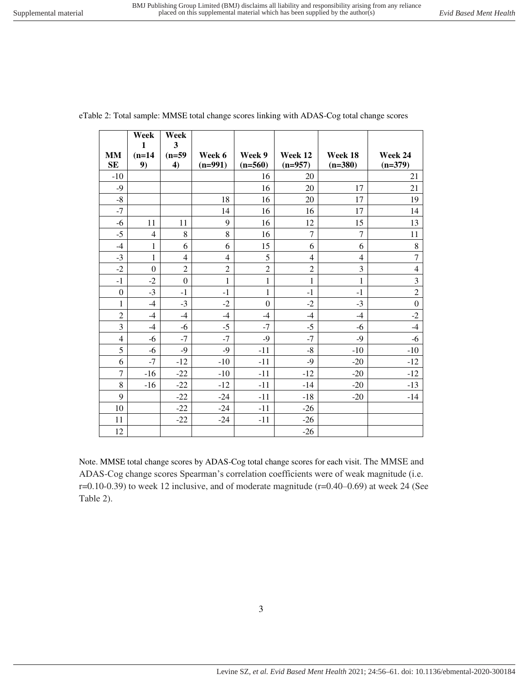|                  | $\mathbf{1}$   | 3                |                |                |                |                |                  |
|------------------|----------------|------------------|----------------|----------------|----------------|----------------|------------------|
| <b>MM</b>        | $(n=14)$       | $(n=59)$         | Week 6         | Week 9         | Week 12        | Week 18        | Week 24          |
| SE               | 9)             | 4)               | $(n=991)$      | $(n=560)$      | $(n=957)$      | $(n=380)$      | $(n=379)$        |
| $-10$            |                |                  |                | 16             | 20             |                | 21               |
| $-9$             |                |                  |                | 16             | 20             | 17             | 21               |
| $-8$             |                |                  | 18             | 16             | 20             | 17             | 19               |
| $-7$             |                |                  | 14             | 16             | 16             | 17             | 14               |
| $-6$             | 11             | 11               | 9              | 16             | 12             | 15             | 13               |
| $-5$             | $\overline{4}$ | $\,8\,$          | 8              | 16             | $\overline{7}$ | $\overline{7}$ | 11               |
| $-4$             | $\mathbf{1}$   | 6                | 6              | 15             | 6              | 6              | $\,8\,$          |
| $-3$             | $\mathbf{1}$   | $\overline{4}$   | $\overline{4}$ | 5              | 4              | $\overline{4}$ | $\overline{7}$   |
| $-2$             | $\mathbf{0}$   | $\overline{c}$   | $\overline{c}$ | $\overline{c}$ | $\overline{2}$ | 3              | $\overline{4}$   |
| $-1$             | $-2$           | $\boldsymbol{0}$ | $\mathbf{1}$   | $\mathbf{1}$   | $\mathbf{1}$   | $\mathbf{1}$   | 3                |
| $\boldsymbol{0}$ | $-3$           | $-1$             | $-1$           | $\mathbf{1}$   | $-1$           | $-1$           | $\overline{2}$   |
| 1                | $-4$           | $-3$             | $-2$           | $\mathbf{0}$   | $-2$           | $-3$           | $\boldsymbol{0}$ |
| $\overline{c}$   | $-4$           | $-4$             | $-4$           | $-4$           | $-4$           | $-4$           | $-2$             |
| 3                | $-4$           | $-6$             | $-5$           | $-7$           | $-5$           | $-6$           | $-4$             |
| $\overline{4}$   | $-6$           | $-7$             | $-7$           | $-9$           | $-7$           | $-9$           | $-6$             |
| 5                | $-6$           | $-9$             | $-9$           | $-11$          | $-8$           | $-10$          | $-10$            |
| 6                | $-7$           | $-12$            | $-10$          | $-11$          | $-9$           | $-20$          | $-12$            |
| 7                | $-16$          | $-22$            | $-10$          | $-11$          | $-12$          | $-20$          | $-12$            |
| $\,8\,$          | $-16$          | $-22$            | $-12$          | $-11$          | $-14$          | $-20$          | $-13$            |
| 9                |                | $-22$            | $-24$          | $-11$          | $-18$          | $-20$          | $-14$            |
| 10               |                | $-22$            | $-24$          | $-11$          | $-26$          |                |                  |
| 11               |                | $-22$            | $-24$          | $-11$          | $-26$          |                |                  |
| 12               |                |                  |                |                | $-26$          |                |                  |

<span id="page-2-0"></span>eTable 2: Total sample: MMSE total change scores linking with ADAS-Cog total change scores

**Week** 

**Week** 

Note. MMSE total change scores by ADAS-Cog total change scores for each visit. The MMSE and ADAS-Cog change scores Spearman's correlation coefficients were of weak magnitude (i.e. r=0.10-0.39) to week 12 inclusive, and of moderate magnitude (r=0.40–0.69) at week 24 (See Table 2).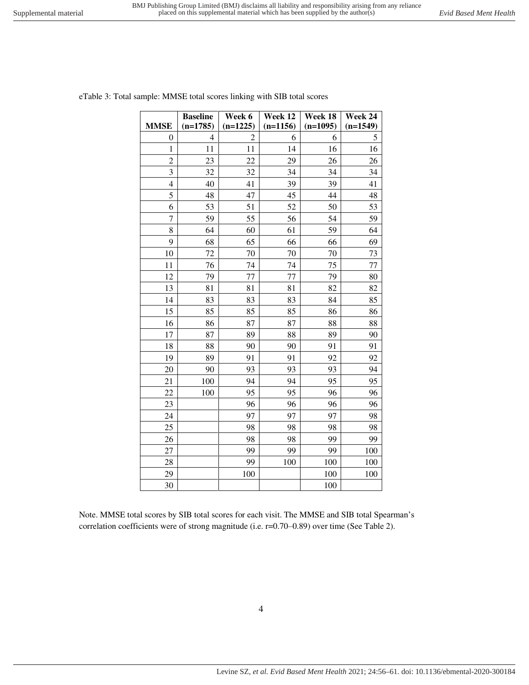<span id="page-3-0"></span>

|  | eTable 3: Total sample: MMSE total scores linking with SIB total scores |
|--|-------------------------------------------------------------------------|
|--|-------------------------------------------------------------------------|

| <b>MMSE</b>    | <b>Baseline</b><br>$(n=1785)$ | Week 6<br>$(n=1225)$ | Week 12<br>$(n=1156)$ | Week 18<br>$(n=1095)$ | Week 24<br>$(n=1549)$ |
|----------------|-------------------------------|----------------------|-----------------------|-----------------------|-----------------------|
| 0              | 4                             | 2                    | 6                     | 6                     | 5                     |
| $\mathbf{1}$   | 11                            | 11                   | 14                    | 16                    | 16                    |
| $\overline{c}$ | 23                            | 22                   | 29                    | 26                    | 26                    |
| 3              | 32                            | 32                   | 34                    | 34                    | 34                    |
| $\overline{4}$ | 40                            | 41                   | 39                    | 39                    | 41                    |
| 5              | 48                            | 47                   | 45                    | 44                    | 48                    |
| 6              | 53                            | 51                   | 52                    | 50                    | 53                    |
| $\overline{7}$ | 59                            | 55                   | 56                    | 54                    | 59                    |
| 8              | 64                            | 60                   | 61                    | 59                    | 64                    |
| 9              | 68                            | 65                   | 66                    | 66                    | 69                    |
| 10             | 72                            | 70                   | 70                    | 70                    | 73                    |
| 11             | 76                            | 74                   | 74                    | 75                    | 77                    |
| 12             | 79                            | 77                   | 77                    | 79                    | 80                    |
| 13             | 81                            | 81                   | 81                    | 82                    | 82                    |
| 14             | 83                            | 83                   | 83                    | 84                    | 85                    |
| 15             | 85                            | 85                   | 85                    | 86                    | 86                    |
| 16             | 86                            | 87                   | 87                    | 88                    | 88                    |
| 17             | 87                            | 89                   | 88                    | 89                    | 90                    |
| 18             | 88                            | 90                   | 90                    | 91                    | 91                    |
| 19             | 89                            | 91                   | 91                    | 92                    | 92                    |
| 20             | 90                            | 93                   | 93                    | 93                    | 94                    |
| 21             | 100                           | 94                   | 94                    | 95                    | 95                    |
| 22             | 100                           | 95                   | 95                    | 96                    | 96                    |
| 23             |                               | 96                   | 96                    | 96                    | 96                    |
| 24             |                               | 97                   | 97                    | 97                    | 98                    |
| 25             |                               | 98                   | 98                    | 98                    | 98                    |
| 26             |                               | 98                   | 98                    | 99                    | 99                    |
| 27             |                               | 99                   | 99                    | 99                    | 100                   |
| 28             |                               | 99                   | 100                   | 100                   | 100                   |
| 29             |                               | 100                  |                       | 100                   | 100                   |
| 30             |                               |                      |                       | 100                   |                       |

Note. MMSE total scores by SIB total scores for each visit. The MMSE and SIB total Spearman's correlation coefficients were of strong magnitude (i.e. r=0.70–0.89) over time (See Table 2).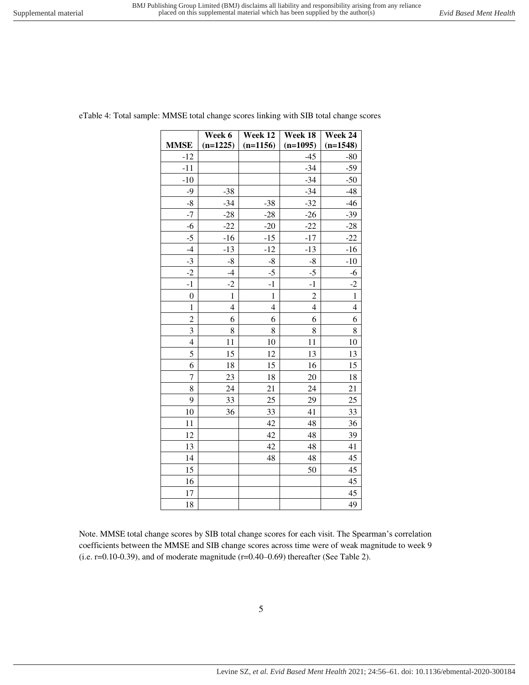| <b>MMSE</b>    | $(n=1225)$   | $(n=1156)$   | $(n=1095)$     | $(n=1548)$     |
|----------------|--------------|--------------|----------------|----------------|
| $-12$          |              |              | $-45$          | $-80$          |
| $-11$          |              |              | $-34$          | $-59$          |
| $-10$          |              |              | $-34$          | $-50$          |
| $-9$           | $-38$        |              | $-34$          | $-48$          |
| $-8$           | $-34$        | $-38$        | $-32$          | $-46$          |
| $-7$           | $-28$        | $-28$        | $-26$          | $-39$          |
| $-6$           | $-22$        | $-20$        | $-22$          | $-28$          |
| $-5$           | $-16$        | $-15$        | $-17$          | $-22$          |
| $-4$           | $-13$        | $-12$        | $-13$          | $-16$          |
| $-3$           | $-8$         | $-8$         | $-8$           | $-10$          |
| $-2$           | $-4$         | $-5$         | $-5$           | $-6$           |
| $-1$           | $-2$         | $-1$         | $-1$           | $-2$           |
| $\mathbf{0}$   | $\mathbf{1}$ | $\mathbf{1}$ | $\overline{c}$ | $\mathbf{1}$   |
| $\mathbf{1}$   | 4            | 4            | $\overline{4}$ | $\overline{4}$ |
| $\overline{2}$ | 6            | 6            | 6              | 6              |
| 3              | 8            | 8            | 8              | 8              |
| 4              | 11           | 10           | 11             | 10             |
| 5              | 15           | 12           | 13             | 13             |
| 6              | 18           | 15           | 16             | 15             |
| 7              | 23           | 18           | 20             | 18             |
| 8              | 24           | 21           | 24             | 21             |
| 9              | 33           | 25           | 29             | 25             |
| 10             | 36           | 33           | 41             | 33             |
| 11             |              | 42           | 48             | 36             |
| 12             |              | 42           | 48             | 39             |
| 13             |              | 42           | 48             | 41             |
| 14             |              | 48           | 48             | 45             |
| 15             |              |              | 50             | 45             |
| 16             |              |              |                | 45             |
| 17             |              |              |                | 45             |
| 18             |              |              |                | 49             |

<span id="page-4-0"></span>eTable 4: Total sample: MMSE total change scores linking with SIB total change scores

**Week 12** 

**Week 18** 

**Week 24** 

**Week 6** 

Note. MMSE total change scores by SIB total change scores for each visit. The Spearman's correlation coefficients between the MMSE and SIB change scores across time were of weak magnitude to week 9 (i.e. r=0.10-0.39), and of moderate magnitude (r=0.40–0.69) thereafter (See Table 2).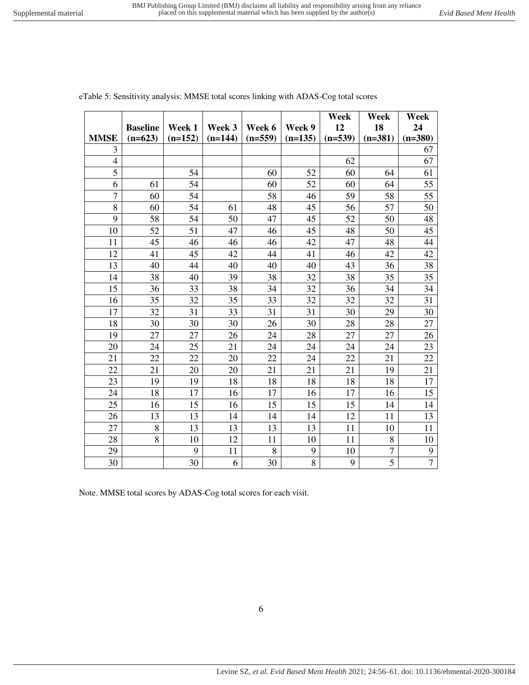**Week** 

**Week** 

**Week** 

|                | <b>Baseline</b> | Week 1    | Week 3    | Week 6    | Week 9    | 12        | 18        | 24             |
|----------------|-----------------|-----------|-----------|-----------|-----------|-----------|-----------|----------------|
| <b>MMSE</b>    | $(n=623)$       | $(n=152)$ | $(n=144)$ | $(n=559)$ | $(n=135)$ | $(n=539)$ | $(n=381)$ | $(n=380)$      |
| 3              |                 |           |           |           |           |           |           | 67             |
| $\overline{4}$ |                 |           |           |           |           | 62        |           | 67             |
| 5              |                 | 54        |           | 60        | 52        | 60        | 64        | 61             |
| 6              | 61              | 54        |           | 60        | 52        | 60        | 64        | 55             |
| 7              | 60              | 54        |           | 58        | 46        | 59        | 58        | 55             |
| 8              | 60              | 54        | 61        | 48        | 45        | 56        | 57        | 50             |
| 9              | 58              | 54        | 50        | 47        | 45        | 52        | 50        | 48             |
| 10             | 52              | 51        | 47        | 46        | 45        | 48        | 50        | 45             |
| 11             | 45              | 46        | 46        | 46        | 42        | 47        | 48        | 44             |
| 12             | 41              | 45        | 42        | 44        | 41        | 46        | 42        | 42             |
| 13             | 40              | 44        | 40        | 40        | 40        | 43        | 36        | 38             |
| 14             | 38              | 40        | 39        | 38        | 32        | 38        | 35        | 35             |
| 15             | 36              | 33        | 38        | 34        | 32        | 36        | 34        | 34             |
| 16             | 35              | 32        | 35        | 33        | 32        | 32        | 32        | 31             |
| 17             | 32              | 31        | 33        | 31        | 31        | 30        | 29        | 30             |
| 18             | 30              | 30        | 30        | 26        | 30        | 28        | 28        | 27             |
| 19             | 27              | 27        | 26        | 24        | 28        | 27        | 27        | 26             |
| 20             | 24              | 25        | 21        | 24        | 24        | 24        | 24        | 23             |
| 21             | 22              | 22        | 20        | 22        | 24        | 22        | 21        | 22             |
| 22             | 21              | 20        | 20        | 21        | 21        | 21        | 19        | 21             |
| 23             | 19              | 19        | 18        | 18        | 18        | 18        | 18        | 17             |
| 24             | 18              | 17        | 16        | 17        | 16        | 17        | 16        | 15             |
| 25             | 16              | 15        | 16        | 15        | 15        | 15        | 14        | 14             |
| 26             | 13              | 13        | 14        | 14        | 14        | 12        | 11        | 13             |
| 27             | 8               | 13        | 13        | 13        | 13        | 11        | 10        | 11             |
| 28             | 8               | 10        | 12        | 11        | 10        | 11        | 8         | 10             |
| 29             |                 | 9         | 11        | 8         | 9         | 10        | 7         | 9              |
| 30             |                 | 30        | 6         | 30        | 8         | 9         | 5         | $\overline{7}$ |

<span id="page-5-0"></span>eTable 5: Sensitivity analysis: MMSE total scores linking with ADAS-Cog total scores

Note. MMSE total scores by ADAS-Cog total scores for each visit.